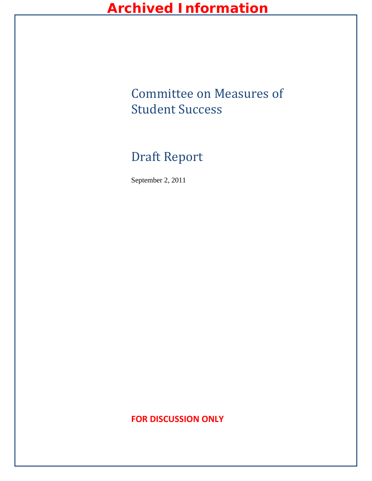# Committee on Measures of Student Success

# Draft Report

September 2, 2011

### **FOR DISCUSSION ONLY**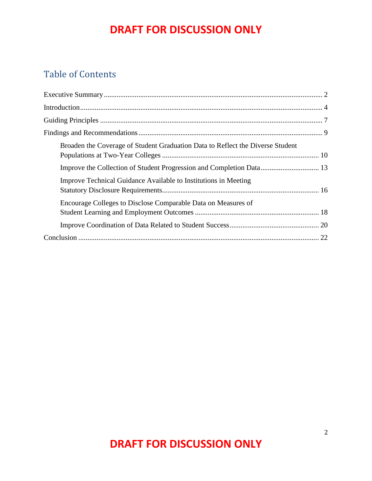### Table of Contents

<span id="page-1-0"></span>

| Broaden the Coverage of Student Graduation Data to Reflect the Diverse Student |  |
|--------------------------------------------------------------------------------|--|
|                                                                                |  |
| Improve Technical Guidance Available to Institutions in Meeting                |  |
| Encourage Colleges to Disclose Comparable Data on Measures of                  |  |
|                                                                                |  |
|                                                                                |  |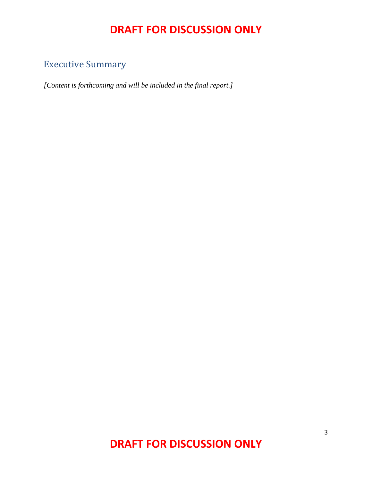## Executive Summary

*[Content is forthcoming and will be included in the final report.]*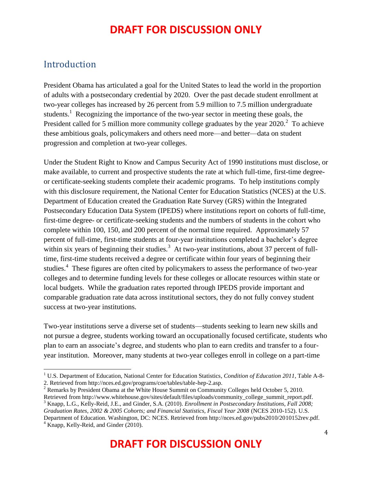### <span id="page-3-0"></span>Introduction

 $\overline{\phantom{a}}$ 

President Obama has articulated a goal for the United States to lead the world in the proportion of adults with a postsecondary credential by 2020. Over the past decade student enrollment at two-year colleges has increased by 26 percent from 5.9 million to 7.5 million undergraduate students.<sup>1</sup> Recognizing the importance of the two-year sector in meeting these goals, the President called for 5 million more community college graduates by the year  $2020$ .<sup>2</sup> To achieve these ambitious goals, policymakers and others need more—and better—data on student progression and completion at two-year colleges.

Under the Student Right to Know and Campus Security Act of 1990 institutions must disclose, or make available, to current and prospective students the rate at which full-time, first-time degreeor certificate-seeking students complete their academic programs. To help institutions comply with this disclosure requirement, the National Center for Education Statistics (NCES) at the U.S. Department of Education created the Graduation Rate Survey (GRS) within the Integrated Postsecondary Education Data System (IPEDS) where institutions report on cohorts of full-time, first-time degree- or certificate-seeking students and the numbers of students in the cohort who complete within 100, 150, and 200 percent of the normal time required. Approximately 57 percent of full-time, first-time students at four-year institutions completed a bachelor's degree within six years of beginning their studies.<sup>3</sup> At two-year institutions, about 37 percent of fulltime, first-time students received a degree or certificate within four years of beginning their studies.<sup>4</sup> These figures are often cited by policymakers to assess the performance of two-year colleges and to determine funding levels for these colleges or allocate resources within state or local budgets. While the graduation rates reported through IPEDS provide important and comparable graduation rate data across institutional sectors, they do not fully convey student success at two-year institutions.

Two-year institutions serve a diverse set of students—students seeking to learn new skills and not pursue a degree, students working toward an occupationally focused certificate, students who plan to earn an associate's degree, and students who plan to earn credits and transfer to a fouryear institution. Moreover, many students at two-year colleges enroll in college on a part-time

<sup>1</sup> U.S. Department of Education, National Center for Education Statistics, *Condition of Education 2011*, Table A-8- 2. Retrieved from http://nces.ed.gov/programs/coe/tables/table-hep-2.asp.

<sup>&</sup>lt;sup>2</sup> Remarks by President Obama at the White House Summit on Community Colleges held October 5, 2010. Retrieved from http://www.whitehouse.gov/sites/default/files/uploads/community\_college\_summit\_report.pdf. <sup>3</sup> Knapp, L.G., Kelly-Reid, J.E., and Ginder, S.A. (2010). *Enrollment in Postsecondary Institutions, Fall 2008; Graduation Rates, 2002 & 2005 Cohorts; and Financial Statistics, Fiscal Year 2008* (NCES 2010-152). U.S. Department of Education. Washington, DC: NCES. Retrieved from http://nces.ed.gov/pubs2010/2010152rev.pdf. <sup>4</sup> Knapp, Kelly-Reid, and Ginder (2010).

**DRAFT FOR DISCUSSION ONLY**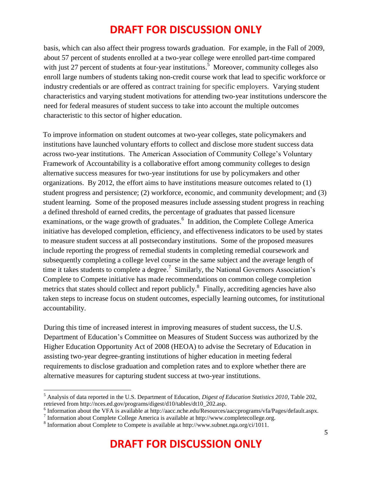basis, which can also affect their progress towards graduation. For example, in the Fall of 2009, about 57 percent of students enrolled at a two-year college were enrolled part-time compared with just 27 percent of students at four-year institutions.<sup>5</sup> Moreover, community colleges also enroll large numbers of students taking non-credit course work that lead to specific workforce or industry credentials or are offered as contract training for specific employers. Varying student characteristics and varying student motivations for attending two-year institutions underscore the need for federal measures of student success to take into account the multiple outcomes characteristic to this sector of higher education.

To improve information on student outcomes at two-year colleges, state policymakers and institutions have launched voluntary efforts to collect and disclose more student success data across two-year institutions. The American Association of Community College's Voluntary Framework of Accountability is a collaborative effort among community colleges to design alternative success measures for two-year institutions for use by policymakers and other organizations. By 2012, the effort aims to have institutions measure outcomes related to (1) student progress and persistence; (2) workforce, economic, and community development; and (3) student learning. Some of the proposed measures include assessing student progress in reaching a defined threshold of earned credits, the percentage of graduates that passed licensure examinations, or the wage growth of graduates.<sup>6</sup> In addition, the Complete College America initiative has developed completion, efficiency, and effectiveness indicators to be used by states to measure student success at all postsecondary institutions. Some of the proposed measures include reporting the progress of remedial students in completing remedial coursework and subsequently completing a college level course in the same subject and the average length of time it takes students to complete a degree.<sup>7</sup> Similarly, the National Governors Association's Complete to Compete initiative has made recommendations on common college completion metrics that states should collect and report publicly.<sup>8</sup> Finally, accrediting agencies have also taken steps to increase focus on student outcomes, especially learning outcomes, for institutional accountability.

During this time of increased interest in improving measures of student success, the U.S. Department of Education's Committee on Measures of Student Success was authorized by the Higher Education Opportunity Act of 2008 (HEOA) to advise the Secretary of Education in assisting two-year degree-granting institutions of higher education in meeting federal requirements to disclose graduation and completion rates and to explore whether there are alternative measures for capturing student success at two-year institutions.

 $\overline{\phantom{a}}$ 

<sup>5</sup> Analysis of data reported in the U.S. Department of Education, *Digest of Education Statistics 2010*, Table 202, retrieved from http://nces.ed.gov/programs/digest/d10/tables/dt10\_202.asp.

<sup>&</sup>lt;sup>6</sup> Information about the VFA is available at http://aacc.nche.edu/Resources/aaccprograms/vfa/Pages/default.aspx.

<sup>7</sup> Information about Complete College America is available at http://www.completecollege.org.

<sup>&</sup>lt;sup>8</sup> Information about Complete to Compete is available at http://www.subnet.nga.org/ci/1011.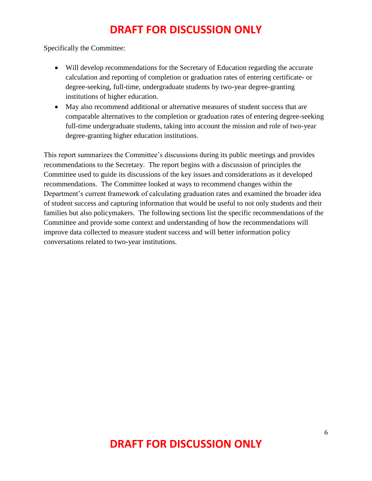Specifically the Committee:

- Will develop recommendations for the Secretary of Education regarding the accurate calculation and reporting of completion or graduation rates of entering certificate- or degree-seeking, full-time, undergraduate students by two-year degree-granting institutions of higher education.
- May also recommend additional or alternative measures of student success that are comparable alternatives to the completion or graduation rates of entering degree-seeking full-time undergraduate students, taking into account the mission and role of two-year degree-granting higher education institutions.

This report summarizes the Committee's discussions during its public meetings and provides recommendations to the Secretary. The report begins with a discussion of principles the Committee used to guide its discussions of the key issues and considerations as it developed recommendations. The Committee looked at ways to recommend changes within the Department's current framework of calculating graduation rates and examined the broader idea of student success and capturing information that would be useful to not only students and their families but also policymakers. The following sections list the specific recommendations of the Committee and provide some context and understanding of how the recommendations will improve data collected to measure student success and will better information policy conversations related to two-year institutions.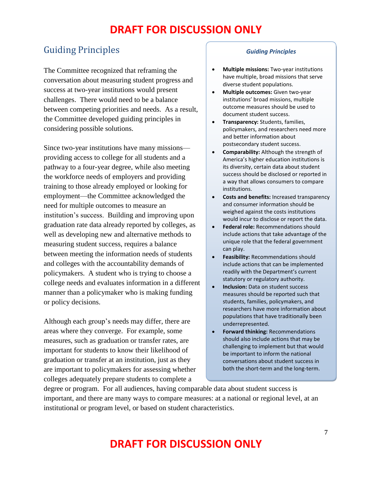### <span id="page-6-0"></span>Guiding Principles

The Committee recognized that reframing the conversation about measuring student progress and success at two-year institutions would present challenges. There would need to be a balance between competing priorities and needs. As a result, the Committee developed guiding principles in considering possible solutions.

Since two-year institutions have many missions providing access to college for all students and a pathway to a four-year degree, while also meeting the workforce needs of employers and providing training to those already employed or looking for employment—the Committee acknowledged the need for multiple outcomes to measure an institution's success. Building and improving upon graduation rate data already reported by colleges, as well as developing new and alternative methods to measuring student success, requires a balance between meeting the information needs of students and colleges with the accountability demands of policymakers. A student who is trying to choose a college needs and evaluates information in a different manner than a policymaker who is making funding or policy decisions.

Although each group's needs may differ, there are areas where they converge. For example, some measures, such as graduation or transfer rates, are important for students to know their likelihood of graduation or transfer at an institution, just as they are important to policymakers for assessing whether colleges adequately prepare students to complete a

#### *Guiding Principles*

- **Multiple missions:** Two-year institutions have multiple, broad missions that serve diverse student populations.
- **Multiple outcomes:** Given two-year institutions' broad missions, multiple outcome measures should be used to document student success.
- **Transparency:** Students, families, policymakers, and researchers need more and better information about postsecondary student success.
- **Comparability:** Although the strength of America's higher education institutions is its diversity, certain data about student success should be disclosed or reported in a way that allows consumers to compare institutions.
- **Costs and benefits:** Increased transparency and consumer information should be weighed against the costs institutions would incur to disclose or report the data.
- **Federal role:** Recommendations should include actions that take advantage of the unique role that the federal government can play.
- **Feasibility:** Recommendations should include actions that can be implemented readily with the Department's current statutory or regulatory authority.
- **Inclusion:** Data on student success measures should be reported such that students, families, policymakers, and researchers have more information about populations that have traditionally been underrepresented.
- **Forward thinking:** Recommendations should also include actions that may be challenging to implement but that would be important to inform the national conversations about student success in both the short-term and the long-term.

degree or program. For all audiences, having comparable data about student success is important, and there are many ways to compare measures: at a national or regional level, at an institutional or program level, or based on student characteristics.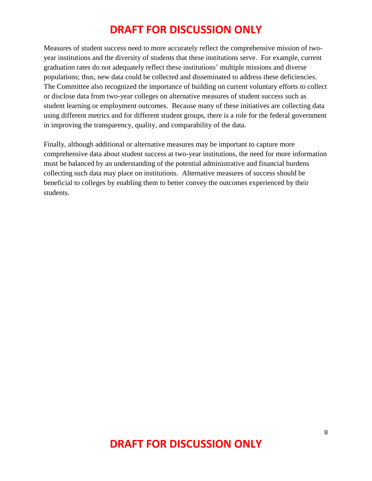Measures of student success need to more accurately reflect the comprehensive mission of twoyear institutions and the diversity of students that these institutions serve. For example, current graduation rates do not adequately reflect these institutions' multiple missions and diverse populations; thus, new data could be collected and disseminated to address these deficiencies. The Committee also recognized the importance of building on current voluntary efforts to collect or disclose data from two-year colleges on alternative measures of student success such as student learning or employment outcomes. Because many of these initiatives are collecting data using different metrics and for different student groups, there is a role for the federal government in improving the transparency, quality, and comparability of the data.

Finally, although additional or alternative measures may be important to capture more comprehensive data about student success at two-year institutions, the need for more information must be balanced by an understanding of the potential administrative and financial burdens collecting such data may place on institutions. Alternative measures of success should be beneficial to colleges by enabling them to better convey the outcomes experienced by their students.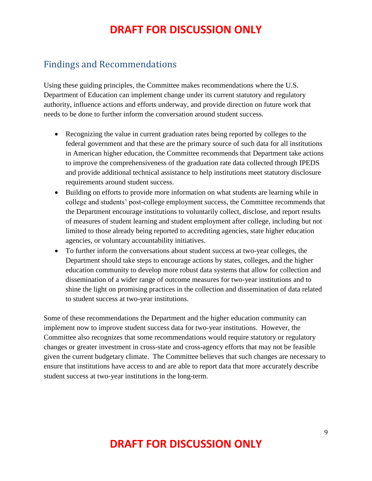### <span id="page-8-0"></span>Findings and Recommendations

Using these guiding principles, the Committee makes recommendations where the U.S. Department of Education can implement change under its current statutory and regulatory authority, influence actions and efforts underway, and provide direction on future work that needs to be done to further inform the conversation around student success.

- Recognizing the value in current graduation rates being reported by colleges to the federal government and that these are the primary source of such data for all institutions in American higher education, the Committee recommends that Department take actions to improve the comprehensiveness of the graduation rate data collected through IPEDS and provide additional technical assistance to help institutions meet statutory disclosure requirements around student success.
- Building on efforts to provide more information on what students are learning while in college and students' post-college employment success, the Committee recommends that the Department encourage institutions to voluntarily collect, disclose, and report results of measures of student learning and student employment after college, including but not limited to those already being reported to accrediting agencies, state higher education agencies, or voluntary accountability initiatives.
- To further inform the conversations about student success at two-year colleges, the Department should take steps to encourage actions by states, colleges, and the higher education community to develop more robust data systems that allow for collection and dissemination of a wider range of outcome measures for two-year institutions and to shine the light on promising practices in the collection and dissemination of data related to student success at two-year institutions.

Some of these recommendations the Department and the higher education community can implement now to improve student success data for two-year institutions. However, the Committee also recognizes that some recommendations would require statutory or regulatory changes or greater investment in cross-state and cross-agency efforts that may not be feasible given the current budgetary climate. The Committee believes that such changes are necessary to ensure that institutions have access to and are able to report data that more accurately describe student success at two-year institutions in the long-term.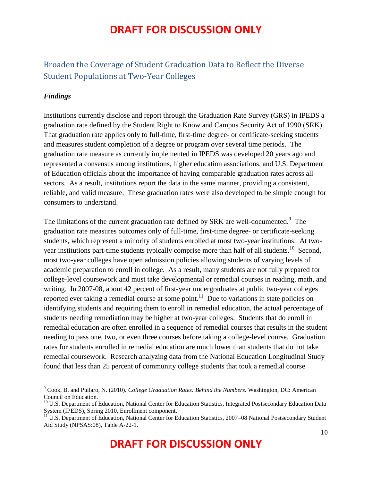### <span id="page-9-0"></span>Broaden the Coverage of Student Graduation Data to Reflect the Diverse Student Populations at Two-Year Colleges

### *Findings*

 $\overline{\phantom{a}}$ 

Institutions currently disclose and report through the Graduation Rate Survey (GRS) in IPEDS a graduation rate defined by the Student Right to Know and Campus Security Act of 1990 (SRK). That graduation rate applies only to full-time, first-time degree- or certificate-seeking students and measures student completion of a degree or program over several time periods. The graduation rate measure as currently implemented in IPEDS was developed 20 years ago and represented a consensus among institutions, higher education associations, and U.S. Department of Education officials about the importance of having comparable graduation rates across all sectors. As a result, institutions report the data in the same manner, providing a consistent, reliable, and valid measure. These graduation rates were also developed to be simple enough for consumers to understand.

The limitations of the current graduation rate defined by SRK are well-documented.<sup>9</sup> The graduation rate measures outcomes only of full-time, first-time degree- or certificate-seeking students, which represent a minority of students enrolled at most two-year institutions. At twoyear institutions part-time students typically comprise more than half of all students.<sup>10</sup> Second, most two-year colleges have open admission policies allowing students of varying levels of academic preparation to enroll in college. As a result, many students are not fully prepared for college-level coursework and must take developmental or remedial courses in reading, math, and writing. In 2007-08, about 42 percent of first-year undergraduates at public two-year colleges reported ever taking a remedial course at some point.<sup>11</sup> Due to variations in state policies on identifying students and requiring them to enroll in remedial education, the actual percentage of students needing remediation may be higher at two-year colleges. Students that do enroll in remedial education are often enrolled in a sequence of remedial courses that results in the student needing to pass one, two, or even three courses before taking a college-level course. Graduation rates for students enrolled in remedial education are much lower than students that do not take remedial coursework. Research analyzing data from the National Education Longitudinal Study found that less than 25 percent of community college students that took a remedial course

<sup>9</sup> Cook, B. and Pullaro, N. (2010). *College Graduation Rates: Behind the Numbers.* Washington, DC: American Council on Education.

<sup>&</sup>lt;sup>10</sup> U.S. Department of Education, National Center for Education Statistics, Integrated Postsecondary Education Data System (IPEDS), Spring 2010, Enrollment component.

<sup>&</sup>lt;sup>11</sup> U.S. Department of Education, National Center for Education Statistics, 2007–08 National Postsecondary Student Aid Study (NPSAS:08), Table A-22-1.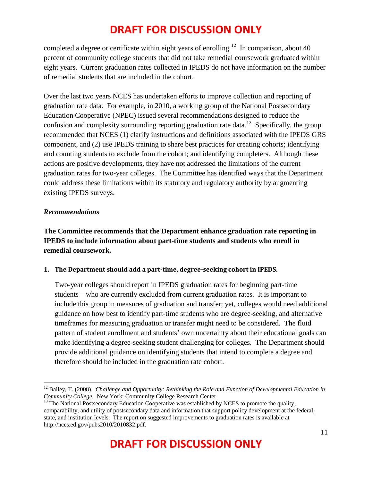completed a degree or certificate within eight years of enrolling.<sup>12</sup> In comparison, about 40 percent of community college students that did not take remedial coursework graduated within eight years. Current graduation rates collected in IPEDS do not have information on the number of remedial students that are included in the cohort.

Over the last two years NCES has undertaken efforts to improve collection and reporting of graduation rate data. For example, in 2010, a working group of the National Postsecondary Education Cooperative (NPEC) issued several recommendations designed to reduce the confusion and complexity surrounding reporting graduation rate data.<sup>13</sup> Specifically, the group recommended that NCES (1) clarify instructions and definitions associated with the IPEDS GRS component, and (2) use IPEDS training to share best practices for creating cohorts; identifying and counting students to exclude from the cohort; and identifying completers. Although these actions are positive developments, they have not addressed the limitations of the current graduation rates for two-year colleges. The Committee has identified ways that the Department could address these limitations within its statutory and regulatory authority by augmenting existing IPEDS surveys.

#### *Recommendations*

**The Committee recommends that the Department enhance graduation rate reporting in IPEDS to include information about part-time students and students who enroll in remedial coursework.**

### **1. The Department should add a part-time, degree-seeking cohort in IPEDS.**

Two-year colleges should report in IPEDS graduation rates for beginning part-time students—who are currently excluded from current graduation rates. It is important to include this group in measures of graduation and transfer; yet, colleges would need additional guidance on how best to identify part-time students who are degree-seeking, and alternative timeframes for measuring graduation or transfer might need to be considered. The fluid pattern of student enrollment and students' own uncertainty about their educational goals can make identifying a degree-seeking student challenging for colleges. The Department should provide additional guidance on identifying students that intend to complete a degree and therefore should be included in the graduation rate cohort.

 $\overline{a}$ <sup>12</sup> Bailey, T. (2008). *Challenge and Opportunity: Rethinking the Role and Function of Developmental Education in Community College.* New York: Community College Research Center.

<sup>&</sup>lt;sup>13</sup> The National Postsecondary Education Cooperative was established by NCES to promote the quality, comparability, and utility of postsecondary data and information that support policy development at the federal, state, and institution levels. The report on suggested improvements to graduation rates is available at http://nces.ed.gov/pubs2010/2010832.pdf.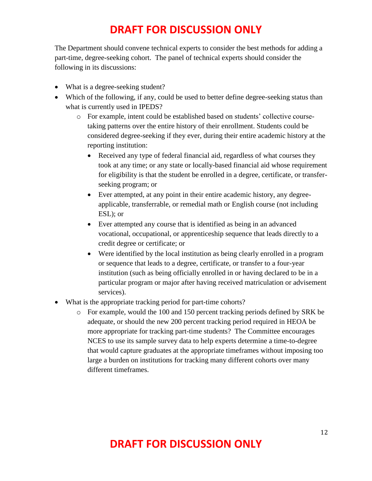The Department should convene technical experts to consider the best methods for adding a part-time, degree-seeking cohort. The panel of technical experts should consider the following in its discussions:

- What is a degree-seeking student?
- Which of the following, if any, could be used to better define degree-seeking status than what is currently used in IPEDS?
	- o For example, intent could be established based on students' collective coursetaking patterns over the entire history of their enrollment. Students could be considered degree-seeking if they ever, during their entire academic history at the reporting institution:
		- Received any type of federal financial aid, regardless of what courses they took at any time; or any state or locally-based financial aid whose requirement for eligibility is that the student be enrolled in a degree, certificate, or transferseeking program; or
		- Ever attempted, at any point in their entire academic history, any degreeapplicable, transferrable, or remedial math or English course (not including ESL); or
		- Ever attempted any course that is identified as being in an advanced vocational, occupational, or apprenticeship sequence that leads directly to a credit degree or certificate; or
		- Were identified by the local institution as being clearly enrolled in a program or sequence that leads to a degree, certificate, or transfer to a four-year institution (such as being officially enrolled in or having declared to be in a particular program or major after having received matriculation or advisement services).
- What is the appropriate tracking period for part-time cohorts?
	- o For example, would the 100 and 150 percent tracking periods defined by SRK be adequate, or should the new 200 percent tracking period required in HEOA be more appropriate for tracking part-time students? The Committee encourages NCES to use its sample survey data to help experts determine a time-to-degree that would capture graduates at the appropriate timeframes without imposing too large a burden on institutions for tracking many different cohorts over many different timeframes.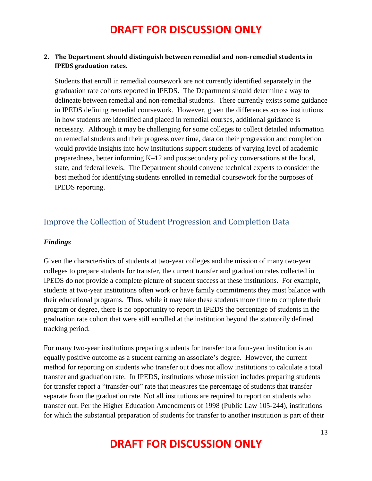#### **2. The Department should distinguish between remedial and non-remedial students in IPEDS graduation rates.**

Students that enroll in remedial coursework are not currently identified separately in the graduation rate cohorts reported in IPEDS. The Department should determine a way to delineate between remedial and non-remedial students. There currently exists some guidance in IPEDS defining remedial coursework. However, given the differences across institutions in how students are identified and placed in remedial courses, additional guidance is necessary. Although it may be challenging for some colleges to collect detailed information on remedial students and their progress over time, data on their progression and completion would provide insights into how institutions support students of varying level of academic preparedness, better informing K–12 and postsecondary policy conversations at the local, state, and federal levels. The Department should convene technical experts to consider the best method for identifying students enrolled in remedial coursework for the purposes of IPEDS reporting.

### <span id="page-12-0"></span>Improve the Collection of Student Progression and Completion Data

#### *Findings*

Given the characteristics of students at two-year colleges and the mission of many two-year colleges to prepare students for transfer, the current transfer and graduation rates collected in IPEDS do not provide a complete picture of student success at these institutions. For example, students at two-year institutions often work or have family commitments they must balance with their educational programs. Thus, while it may take these students more time to complete their program or degree, there is no opportunity to report in IPEDS the percentage of students in the graduation rate cohort that were still enrolled at the institution beyond the statutorily defined tracking period.

For many two-year institutions preparing students for transfer to a four-year institution is an equally positive outcome as a student earning an associate's degree. However, the current method for reporting on students who transfer out does not allow institutions to calculate a total transfer and graduation rate. In IPEDS, institutions whose mission includes preparing students for transfer report a "transfer-out" rate that measures the percentage of students that transfer separate from the graduation rate. Not all institutions are required to report on students who transfer out. Per the Higher Education Amendments of 1998 (Public Law 105-244), institutions for which the substantial preparation of students for transfer to another institution is part of their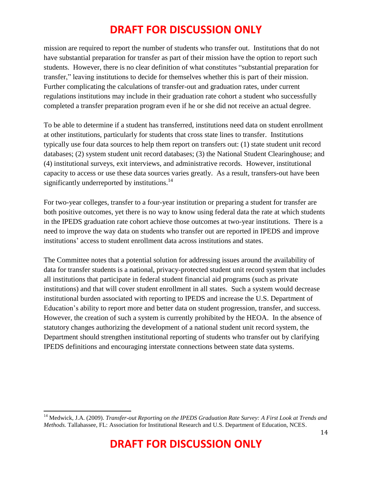mission are required to report the number of students who transfer out. Institutions that do not have substantial preparation for transfer as part of their mission have the option to report such students. However, there is no clear definition of what constitutes "substantial preparation for transfer," leaving institutions to decide for themselves whether this is part of their mission. Further complicating the calculations of transfer-out and graduation rates, under current regulations institutions may include in their graduation rate cohort a student who successfully completed a transfer preparation program even if he or she did not receive an actual degree.

To be able to determine if a student has transferred, institutions need data on student enrollment at other institutions, particularly for students that cross state lines to transfer. Institutions typically use four data sources to help them report on transfers out: (1) state student unit record databases; (2) system student unit record databases; (3) the National Student Clearinghouse; and (4) institutional surveys, exit interviews, and administrative records. However, institutional capacity to access or use these data sources varies greatly. As a result, transfers-out have been significantly underreported by institutions.<sup>14</sup>

For two-year colleges, transfer to a four-year institution or preparing a student for transfer are both positive outcomes, yet there is no way to know using federal data the rate at which students in the IPEDS graduation rate cohort achieve those outcomes at two-year institutions. There is a need to improve the way data on students who transfer out are reported in IPEDS and improve institutions' access to student enrollment data across institutions and states.

The Committee notes that a potential solution for addressing issues around the availability of data for transfer students is a national, privacy-protected student unit record system that includes all institutions that participate in federal student financial aid programs (such as private institutions) and that will cover student enrollment in all states. Such a system would decrease institutional burden associated with reporting to IPEDS and increase the U.S. Department of Education's ability to report more and better data on student progression, transfer, and success. However, the creation of such a system is currently prohibited by the HEOA. In the absence of statutory changes authorizing the development of a national student unit record system, the Department should strengthen institutional reporting of students who transfer out by clarifying IPEDS definitions and encouraging interstate connections between state data systems.

 $\overline{\phantom{a}}$ 

<sup>14</sup> Medwick, J.A. (2009). *Transfer-out Reporting on the IPEDS Graduation Rate Survey: A First Look at Trends and Methods.* Tallahassee, FL: Association for Institutional Research and U.S. Department of Education, NCES.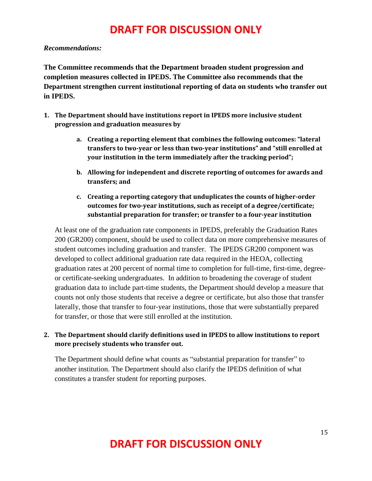#### *Recommendations:*

**The Committee recommends that the Department broaden student progression and completion measures collected in IPEDS. The Committee also recommends that the Department strengthen current institutional reporting of data on students who transfer out in IPEDS.**

- **1. The Department should have institutions report in IPEDS more inclusive student progression and graduation measures by**
	- **a. Creating a reporting element that combines the following outcomes: "lateral transfers to two-year or less than two-year institutions" and "still enrolled at your institution in the term immediately after the tracking period";**
	- **b. Allowing for independent and discrete reporting of outcomes for awards and transfers; and**
	- **c. Creating a reporting category that unduplicates the counts of higher-order outcomes for two-year institutions, such as receipt of a degree/certificate; substantial preparation for transfer; or transfer to a four-year institution**

At least one of the graduation rate components in IPEDS, preferably the Graduation Rates 200 (GR200) component, should be used to collect data on more comprehensive measures of student outcomes including graduation and transfer. The IPEDS GR200 component was developed to collect additional graduation rate data required in the HEOA, collecting graduation rates at 200 percent of normal time to completion for full-time, first-time, degreeor certificate-seeking undergraduates. In addition to broadening the coverage of student graduation data to include part-time students, the Department should develop a measure that counts not only those students that receive a degree or certificate, but also those that transfer laterally, those that transfer to four-year institutions, those that were substantially prepared for transfer, or those that were still enrolled at the institution.

### **2. The Department should clarify definitions used in IPEDS to allow institutions to report more precisely students who transfer out.**

The Department should define what counts as "substantial preparation for transfer" to another institution. The Department should also clarify the IPEDS definition of what constitutes a transfer student for reporting purposes.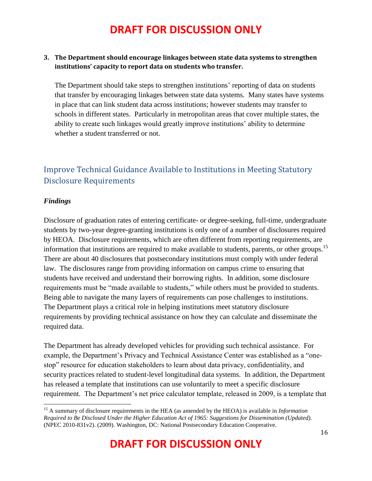### **3. The Department should encourage linkages between state data systems to strengthen institutions' capacity to report data on students who transfer.**

The Department should take steps to strengthen institutions' reporting of data on students that transfer by encouraging linkages between state data systems. Many states have systems in place that can link student data across institutions; however students may transfer to schools in different states. Particularly in metropolitan areas that cover multiple states, the ability to create such linkages would greatly improve institutions' ability to determine whether a student transferred or not.

### <span id="page-15-0"></span>Improve Technical Guidance Available to Institutions in Meeting Statutory Disclosure Requirements

#### *Findings*

 $\overline{a}$ 

Disclosure of graduation rates of entering certificate- or degree-seeking, full-time, undergraduate students by two-year degree-granting institutions is only one of a number of disclosures required by HEOA. Disclosure requirements, which are often different from reporting requirements, are information that institutions are required to make available to students, parents, or other groups.<sup>15</sup> There are about 40 disclosures that postsecondary institutions must comply with under federal law. The disclosures range from providing information on campus crime to ensuring that students have received and understand their borrowing rights. In addition, some disclosure requirements must be "made available to students," while others must be provided to students. Being able to navigate the many layers of requirements can pose challenges to institutions. The Department plays a critical role in helping institutions meet statutory disclosure requirements by providing technical assistance on how they can calculate and disseminate the required data.

The Department has already developed vehicles for providing such technical assistance. For example, the Department's Privacy and Technical Assistance Center was established as a "onestop" resource for education stakeholders to learn about data privacy, confidentiality, and security practices related to student-level longitudinal data systems. In addition, the Department has released a template that institutions can use voluntarily to meet a specific disclosure requirement. The Department's net price calculator template, released in 2009, is a template that

<sup>15</sup> A summary of disclosure requirements in the HEA (as amended by the HEOA) is available in *Information Required to Be Disclosed Under the Higher Education Act of 1965: Suggestions for Dissemination (Updated).*  (NPEC 2010-831v2). (2009). Washington, DC: National Postsecondary Education Cooperative.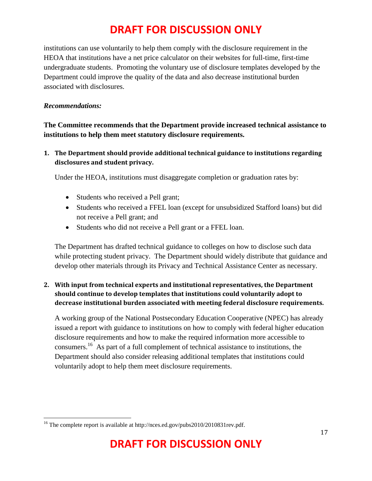institutions can use voluntarily to help them comply with the disclosure requirement in the HEOA that institutions have a net price calculator on their websites for full-time, first-time undergraduate students. Promoting the voluntary use of disclosure templates developed by the Department could improve the quality of the data and also decrease institutional burden associated with disclosures.

#### *Recommendations:*

**The Committee recommends that the Department provide increased technical assistance to institutions to help them meet statutory disclosure requirements.**

**1. The Department should provide additional technical guidance to institutions regarding disclosures and student privacy.**

Under the HEOA, institutions must disaggregate completion or graduation rates by:

- Students who received a Pell grant;
- Students who received a FFEL loan (except for unsubsidized Stafford loans) but did not receive a Pell grant; and
- Students who did not receive a Pell grant or a FFEL loan.

The Department has drafted technical guidance to colleges on how to disclose such data while protecting student privacy. The Department should widely distribute that guidance and develop other materials through its Privacy and Technical Assistance Center as necessary.

### **2. With input from technical experts and institutional representatives, the Department should continue to develop templates that institutions could voluntarily adopt to decrease institutional burden associated with meeting federal disclosure requirements.**

A working group of the National Postsecondary Education Cooperative (NPEC) has already issued a report with guidance to institutions on how to comply with federal higher education disclosure requirements and how to make the required information more accessible to consumers.<sup>16</sup> As part of a full complement of technical assistance to institutions, the Department should also consider releasing additional templates that institutions could voluntarily adopt to help them meet disclosure requirements.

 $\overline{a}$ <sup>16</sup> The complete report is available at http://nces.ed.gov/pubs2010/2010831rev.pdf.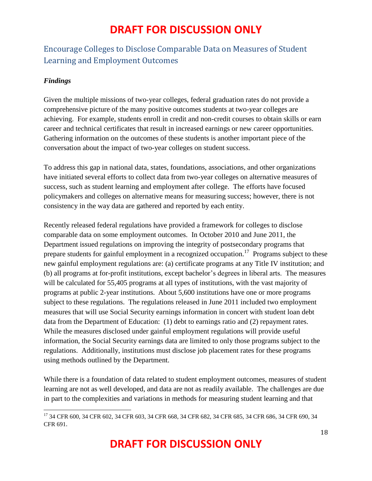### <span id="page-17-0"></span>Encourage Colleges to Disclose Comparable Data on Measures of Student Learning and Employment Outcomes

### *Findings*

 $\overline{\phantom{a}}$ 

Given the multiple missions of two-year colleges, federal graduation rates do not provide a comprehensive picture of the many positive outcomes students at two-year colleges are achieving. For example, students enroll in credit and non-credit courses to obtain skills or earn career and technical certificates that result in increased earnings or new career opportunities. Gathering information on the outcomes of these students is another important piece of the conversation about the impact of two-year colleges on student success.

To address this gap in national data, states, foundations, associations, and other organizations have initiated several efforts to collect data from two-year colleges on alternative measures of success, such as student learning and employment after college. The efforts have focused policymakers and colleges on alternative means for measuring success; however, there is not consistency in the way data are gathered and reported by each entity.

Recently released federal regulations have provided a framework for colleges to disclose comparable data on some employment outcomes. In October 2010 and June 2011, the Department issued regulations on improving the integrity of postsecondary programs that prepare students for gainful employment in a recognized occupation.<sup>17</sup> Programs subject to these new gainful employment regulations are: (a) certificate programs at any Title IV institution; and (b) all programs at for-profit institutions, except bachelor's degrees in liberal arts. The measures will be calculated for 55,405 programs at all types of institutions, with the vast majority of programs at public 2-year institutions. About 5,600 institutions have one or more programs subject to these regulations. The regulations released in June 2011 included two employment measures that will use Social Security earnings information in concert with student loan debt data from the Department of Education: (1) debt to earnings ratio and (2) repayment rates. While the measures disclosed under gainful employment regulations will provide useful information, the Social Security earnings data are limited to only those programs subject to the regulations. Additionally, institutions must disclose job placement rates for these programs using methods outlined by the Department.

While there is a foundation of data related to student employment outcomes, measures of student learning are not as well developed, and data are not as readily available. The challenges are due in part to the complexities and variations in methods for measuring student learning and that

<sup>&</sup>lt;sup>17</sup> [34 CFR 600,](http://www.federalregister.gov/select-citation/2010/10/29/34-CFR-600) [34 CFR 602,](http://www.federalregister.gov/select-citation/2010/10/29/34-CFR-602) [34 CFR 603,](http://www.federalregister.gov/select-citation/2010/10/29/34-CFR-603) [34 CFR 668,](http://www.federalregister.gov/select-citation/2010/10/29/34-CFR-668) [34 CFR 682,](http://www.federalregister.gov/select-citation/2010/10/29/34-CFR-682) [34 CFR 685,](http://www.federalregister.gov/select-citation/2010/10/29/34-CFR-685) [34 CFR 686,](http://www.federalregister.gov/select-citation/2010/10/29/34-CFR-686) [34 CFR 690,](http://www.federalregister.gov/select-citation/2010/10/29/34-CFR-690) 34 [CFR 691](http://www.federalregister.gov/select-citation/2010/10/29/34-CFR-691).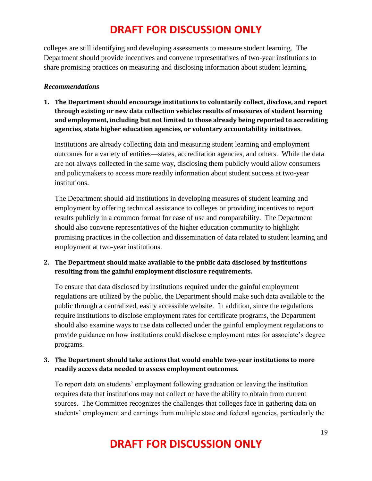colleges are still identifying and developing assessments to measure student learning. The Department should provide incentives and convene representatives of two-year institutions to share promising practices on measuring and disclosing information about student learning.

#### *Recommendations*

**1. The Department should encourage institutions to voluntarily collect, disclose, and report through existing or new data collection vehicles results of measures of student learning and employment, including but not limited to those already being reported to accrediting agencies, state higher education agencies, or voluntary accountability initiatives.** 

Institutions are already collecting data and measuring student learning and employment outcomes for a variety of entities—states, accreditation agencies, and others. While the data are not always collected in the same way, disclosing them publicly would allow consumers and policymakers to access more readily information about student success at two-year institutions.

The Department should aid institutions in developing measures of student learning and employment by offering technical assistance to colleges or providing incentives to report results publicly in a common format for ease of use and comparability. The Department should also convene representatives of the higher education community to highlight promising practices in the collection and dissemination of data related to student learning and employment at two-year institutions.

### **2. The Department should make available to the public data disclosed by institutions resulting from the gainful employment disclosure requirements.**

To ensure that data disclosed by institutions required under the gainful employment regulations are utilized by the public, the Department should make such data available to the public through a centralized, easily accessible website. In addition, since the regulations require institutions to disclose employment rates for certificate programs, the Department should also examine ways to use data collected under the gainful employment regulations to provide guidance on how institutions could disclose employment rates for associate's degree programs.

### **3. The Department should take actions that would enable two-year institutions to more readily access data needed to assess employment outcomes.**

To report data on students' employment following graduation or leaving the institution requires data that institutions may not collect or have the ability to obtain from current sources. The Committee recognizes the challenges that colleges face in gathering data on students' employment and earnings from multiple state and federal agencies, particularly the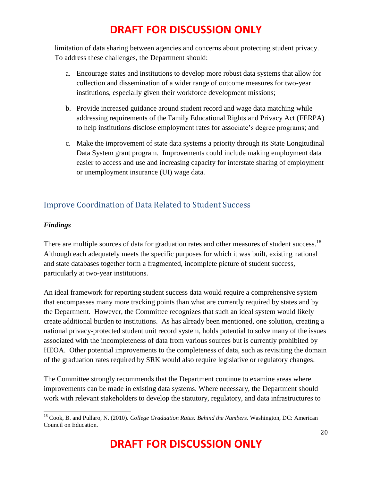limitation of data sharing between agencies and concerns about protecting student privacy. To address these challenges, the Department should:

- a. Encourage states and institutions to develop more robust data systems that allow for collection and dissemination of a wider range of outcome measures for two-year institutions, especially given their workforce development missions;
- b. Provide increased guidance around student record and wage data matching while addressing requirements of the Family Educational Rights and Privacy Act (FERPA) to help institutions disclose employment rates for associate's degree programs; and
- c. Make the improvement of state data systems a priority through its State Longitudinal Data System grant program. Improvements could include making employment data easier to access and use and increasing capacity for interstate sharing of employment or unemployment insurance (UI) wage data.

### <span id="page-19-0"></span>Improve Coordination of Data Related to Student Success

### *Findings*

 $\overline{\phantom{a}}$ 

There are multiple sources of data for graduation rates and other measures of student success.<sup>18</sup> Although each adequately meets the specific purposes for which it was built, existing national and state databases together form a fragmented, incomplete picture of student success, particularly at two-year institutions.

An ideal framework for reporting student success data would require a comprehensive system that encompasses many more tracking points than what are currently required by states and by the Department. However, the Committee recognizes that such an ideal system would likely create additional burden to institutions. As has already been mentioned, one solution, creating a national privacy-protected student unit record system, holds potential to solve many of the issues associated with the incompleteness of data from various sources but is currently prohibited by HEOA. Other potential improvements to the completeness of data, such as revisiting the domain of the graduation rates required by SRK would also require legislative or regulatory changes.

The Committee strongly recommends that the Department continue to examine areas where improvements can be made in existing data systems. Where necessary, the Department should work with relevant stakeholders to develop the statutory, regulatory, and data infrastructures to

<sup>18</sup> Cook, B. and Pullaro, N. (2010). *College Graduation Rates: Behind the Numbers.* Washington, DC: American Council on Education.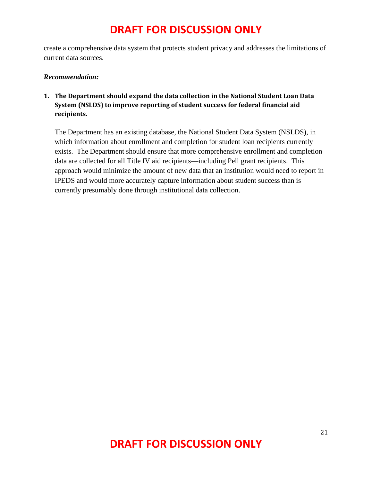create a comprehensive data system that protects student privacy and addresses the limitations of current data sources.

#### *Recommendation:*

**1. The Department should expand the data collection in the National Student Loan Data System (NSLDS) to improve reporting of student success for federal financial aid recipients.**

The Department has an existing database, the National Student Data System (NSLDS), in which information about enrollment and completion for student loan recipients currently exists. The Department should ensure that more comprehensive enrollment and completion data are collected for all Title IV aid recipients—including Pell grant recipients. This approach would minimize the amount of new data that an institution would need to report in IPEDS and would more accurately capture information about student success than is currently presumably done through institutional data collection.